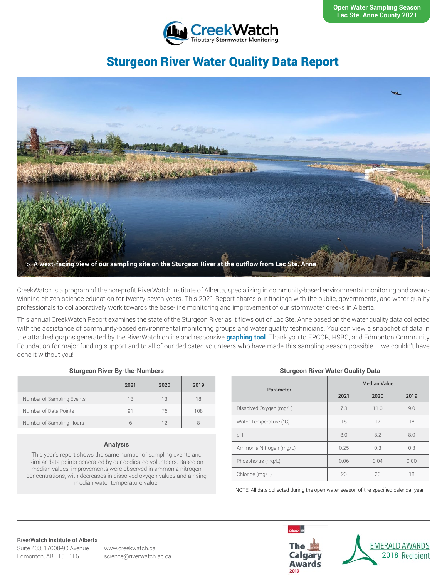

# Sturgeon River Water Quality Data Report



CreekWatch is a program of the non-profit RiverWatch Institute of Alberta, specializing in community-based environmental monitoring and awardwinning citizen science education for twenty-seven years. This 2021 Report shares our findings with the public, governments, and water quality professionals to collaboratively work towards the base-line monitoring and improvement of our stormwater creeks in Alberta.

This annual CreekWatch Report examines the state of the Sturgeon River as it flows out of Lac Ste. Anne based on the water quality data collected with the assistance of community-based environmental monitoring groups and water quality technicians. You can view a snapshot of data in the attached graphs generated by the RiverWatch online and responsive **[graphing tool](http://www.riverwatch.ab.ca/index.php/science/data)**. Thank you to EPCOR, HSBC, and Edmonton Community Foundation for major funding support and to all of our dedicated volunteers who have made this sampling season possible – we couldn't have done it without you!

#### **Sturgeon River By-the-Numbers**

|                           | 2021 | 2020 | 2019 |
|---------------------------|------|------|------|
| Number of Sampling Events | 13   | 13   | 18   |
| Number of Data Points     | q1   | 76   | 108  |
| Number of Sampling Hours  |      |      |      |

#### **Analysis**

This year's report shows the same number of sampling events and similar data points generated by our dedicated volunteers. Based on median values, improvements were observed in ammonia nitrogen concentrations, with decreases in dissolved oxygen values and a rising median water temperature value.

#### **Sturgeon River Water Quality Data**

| Parameter               | <b>Median Value</b> |      |      |
|-------------------------|---------------------|------|------|
|                         | 2021                | 2020 | 2019 |
| Dissolved Oxygen (mg/L) | 7.3                 | 11.0 | 9.0  |
| Water Temperature (°C)  | 18                  | 17   | 18   |
| pH                      | 8.0                 | 8.2  | 8.0  |
| Ammonia Nitrogen (mg/L) | 0.25                | 0.3  | 0.3  |
| Phosphorus (mg/L)       | 0.06                | 0.04 | 0.00 |
| Chloride (mg/L)         | 20                  | 20   | 18   |

NOTE: All data collected during the open water season of the specified calendar year.

# RiverWatch Institute of Alberta

Suite 433, 17008-90 Avenue Edmonton, AB T5T 1L6

www.creekwatch.ca science@riverwatch.ab.ca